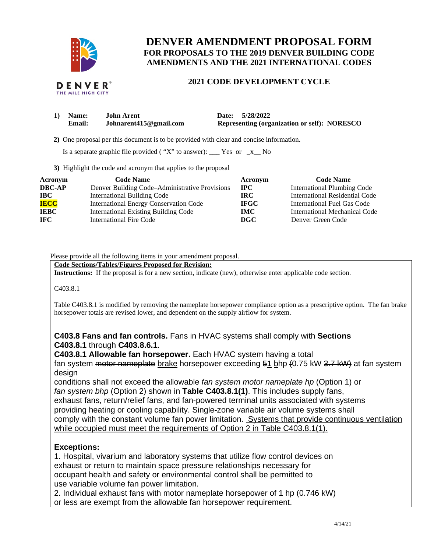

# **DENVER AMENDMENT PROPOSAL FORM FOR PROPOSALS TO THE 2019 DENVER BUILDING CODE AMENDMENTS AND THE 2021 INTERNATIONAL CODES**

# **2021 CODE DEVELOPMENT CYCLE**

| 1) Name:      | <b>John Arent</b>      | Date: 5/28/2022                                     |
|---------------|------------------------|-----------------------------------------------------|
| <b>Email:</b> | Johnarent415@gmail.com | <b>Representing (organization or self): NORESCO</b> |

 **2)** One proposal per this document is to be provided with clear and concise information.

Is a separate graphic file provided ("X" to answer):  $\frac{\ }{2}$  Yes or  $\frac{\ }{2}$  No

**3)** Highlight the code and acronym that applies to the proposal

| Acronym       | <b>Code Name</b>                               | Acronym     | <b>Code Name</b>                   |
|---------------|------------------------------------------------|-------------|------------------------------------|
| <b>DBC-AP</b> | Denver Building Code–Administrative Provisions | $\bf{IPC}$  | <b>International Plumbing Code</b> |
| $\bf IBC$     | <b>International Building Code</b>             | IRC.        | International Residential Code     |
| <b>IECC</b>   | <b>International Energy Conservation Code</b>  | <b>IFGC</b> | International Fuel Gas Code        |
| <b>IEBC</b>   | <b>International Existing Building Code</b>    | <b>IMC</b>  | International Mechanical Code      |
| IFC.          | <b>International Fire Code</b>                 | DGC         | Denver Green Code                  |

### Please provide all the following items in your amendment proposal.

## **Code Sections/Tables/Figures Proposed for Revision:**

**Instructions:** If the proposal is for a new section, indicate (new), otherwise enter applicable code section.

C403.8.1

Table C403.8.1 is modified by removing the nameplate horsepower compliance option as a prescriptive option. The fan brake horsepower totals are revised lower, and dependent on the supply airflow for system.

# **C403.8 Fans and fan controls.** Fans in HVAC systems shall comply with **Sections C403.8.1** through **C403.8.6.1**.

**C403.8.1 Allowable fan horsepower.** Each HVAC system having a total fan system <del>motor nameplate</del> brake horsepower exceeding 51 bhp (0.75 kW 3.7 kW) at fan system design

conditions shall not exceed the allowable *fan system motor nameplate hp* (Option 1) or *fan system bhp* (Option 2) shown in **Table C403.8.1(1)**. This includes supply fans, exhaust fans, return/relief fans, and fan-powered terminal units associated with systems providing heating or cooling capability. Single-zone variable air volume systems shall comply with the constant volume fan power limitation. Systems that provide continuous ventilation while occupied must meet the requirements of Option 2 in Table C403.8.1(1).

# **Exceptions:**

1. Hospital, vivarium and laboratory systems that utilize flow control devices on exhaust or return to maintain space pressure relationships necessary for occupant health and safety or environmental control shall be permitted to use variable volume fan power limitation.

2. Individual exhaust fans with motor nameplate horsepower of 1 hp (0.746 kW) or less are exempt from the allowable fan horsepower requirement.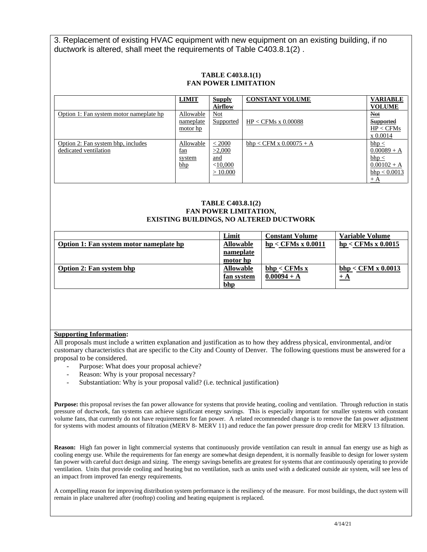3. Replacement of existing HVAC equipment with new equipment on an existing building, if no ductwork is altered, shall meet the requirements of Table C403.8.1(2) .

## **TABLE C403.8.1(1) FAN POWER LIMITATION**

|                                                             | <b>LIMIT</b>                                | <b>Supply</b><br><b>Airflow</b>                  | <b>CONSTANT VOLUME</b>    | <b>VARIABLE</b><br><b>VOLUME</b>                                                       |
|-------------------------------------------------------------|---------------------------------------------|--------------------------------------------------|---------------------------|----------------------------------------------------------------------------------------|
| Option 1: Fan system motor nameplate hp                     | Allowable<br>nameplate<br>motor hp          | <b>Not</b><br>Supported                          | $HP < CFMs$ x 0.00088     | $Not$<br><b>Supported</b><br>HP < CFMs<br>x 0.0014                                     |
| Option 2: Fan system bhp, includes<br>dedicated ventilation | Allowable<br><u>fan</u><br>system<br>$b$ hp | < 2000<br>>2,000<br>and<br>$<$ 10,000<br>>10.000 | $bhp < CFM x 0.00075 + A$ | $bhp \leq$<br>$0.00089 + A$<br>$bhp \leq$<br>$0.00102 + A$<br>$b$ hp < 0.0013<br>$+ A$ |

#### **TABLE C403.8.1(2) FAN POWER LIMITATION, EXISTING BUILDINGS, NO ALTERED DUCTWORK**

|                                         | Limit             | <b>Constant Volume</b> | Variable Volume      |
|-----------------------------------------|-------------------|------------------------|----------------------|
| Option 1: Fan system motor nameplate hp | <b>Allowable</b>  | $hp <$ CFMs x 0.0011   | $hp <$ CFMs x 0.0015 |
|                                         | nameplate         |                        |                      |
|                                         | motor hp          |                        |                      |
| <b>Option 2: Fan system bhp</b>         | <b>Allowable</b>  | bhp < CFMs x           | bhp < CFM x 0.0013   |
|                                         | <u>fan system</u> | $0.00094 + A$          | $+$ A                |
|                                         | <u>bhp</u>        |                        |                      |

### **Supporting Information:**

All proposals must include a written explanation and justification as to how they address physical, environmental, and/or customary characteristics that are specific to the City and County of Denver. The following questions must be answered for a proposal to be considered.

- Purpose: What does your proposal achieve?
	- Reason: Why is your proposal necessary?
- Substantiation: Why is your proposal valid? (i.e. technical justification)

**Purpose:** this proposal revises the fan power allowance for systems that provide heating, cooling and ventilation. Through reduction in statis pressure of ductwork, fan systems can achieve significant energy savings. This is especially important for smaller systems with constant volume fans, that currently do not have requirements for fan power. A related recommended change is to remove the fan power adjustment for systems with modest amounts of filtration (MERV 8- MERV 11) and reduce the fan power pressure drop credit for MERV 13 filtration.

**Reason:** High fan power in light commercial systems that continuously provide ventilation can result in annual fan energy use as high as cooling energy use. While the requirements for fan energy are somewhat design dependent, it is normally feasible to design for lower system fan power with careful duct design and sizing. The energy savings benefits are greatest for systems that are continuously operating to provide ventilation. Units that provide cooling and heating but no ventilation, such as units used with a dedicated outside air system, will see less of an impact from improved fan energy requirements.

A compelling reason for improving distribution system performance is the resiliency of the measure. For most buildings, the duct system will remain in place unaltered after (rooftop) cooling and heating equipment is replaced.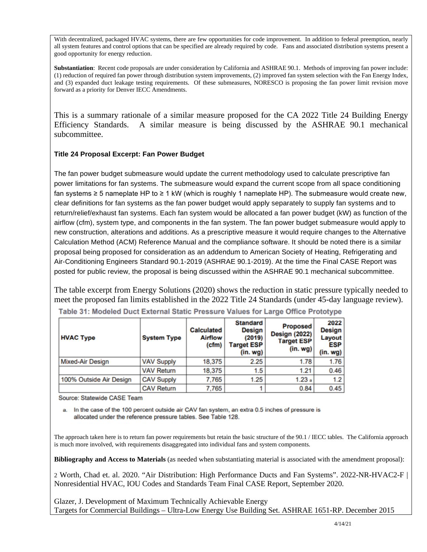With decentralized, packaged HVAC systems, there are few opportunities for code improvement. In addition to federal preemption, nearly all system features and control options that can be specified are already required by code. Fans and associated distribution systems present a good opportunity for energy reduction.

**Substantiation**: Recent code proposals are under consideration by California and ASHRAE 90.1. Methods of improving fan power include: (1) reduction of required fan power through distribution system improvements, (2) improved fan system selection with the Fan Energy Index, and (3) expanded duct leakage testing requirements. Of these submeasures, NORESCO is proposing the fan power limit revision move forward as a priority for Denver IECC Amendments.

This is a summary rationale of a similar measure proposed for the CA 2022 Title 24 Building Energy Efficiency Standards. A similar measure is being discussed by the ASHRAE 90.1 mechanical subcommittee.

# **Title 24 Proposal Excerpt: Fan Power Budget**

The fan power budget submeasure would update the current methodology used to calculate prescriptive fan power limitations for fan systems. The submeasure would expand the current scope from all space conditioning fan systems ≥ 5 nameplate HP to ≥ 1 kW (which is roughly 1 nameplate HP). The submeasure would create new, clear definitions for fan systems as the fan power budget would apply separately to supply fan systems and to return/relief/exhaust fan systems. Each fan system would be allocated a fan power budget (kW) as function of the airflow (cfm), system type, and components in the fan system. The fan power budget submeasure would apply to new construction, alterations and additions. As a prescriptive measure it would require changes to the Alternative Calculation Method (ACM) Reference Manual and the compliance software. It should be noted there is a similar proposal being proposed for consideration as an addendum to American Society of Heating, Refrigerating and Air-Conditioning Engineers Standard 90.1-2019 (ASHRAE 90.1-2019). At the time the Final CASE Report was posted for public review, the proposal is being discussed within the ASHRAE 90.1 mechanical subcommittee.

The table excerpt from Energy Solutions (2020) shows the reduction in static pressure typically needed to meet the proposed fan limits established in the 2022 Title 24 Standards (under 45-day language review).

| <b>HVAC Type</b>        | <b>System Type</b> | <b>Calculated</b><br><b>Airflow</b><br>(cfm) | <b>Standard</b><br><b>Design</b><br>(2019)<br><b>Target ESP</b><br>(in.wg) | <b>Proposed</b><br><b>Design (2022)</b><br><b>Target ESP</b><br>(in. wg) $1$ | 2022<br><b>Design</b><br>Layout<br><b>ESP</b><br>$(in. wg)$ |
|-------------------------|--------------------|----------------------------------------------|----------------------------------------------------------------------------|------------------------------------------------------------------------------|-------------------------------------------------------------|
| <b>Mixed-Air Design</b> | <b>VAV Supply</b>  | 18,375                                       | 2.25                                                                       | 1.78                                                                         | 1.76                                                        |
|                         | <b>VAV Return</b>  | 18,375                                       | 1.5                                                                        | 1.21                                                                         | 0.46                                                        |
| 100% Outside Air Design | <b>CAV Supply</b>  | 7,765                                        | 1.25                                                                       | 1.23a                                                                        | 1.2                                                         |
|                         | <b>CAV Return</b>  | 7.765                                        |                                                                            | 0.84                                                                         | 0.45                                                        |

Table 31: Modeled Duct External Static Pressure Values for Large Office Prototype

Source: Statewide CASE Team

a. In the case of the 100 percent outside air CAV fan system, an extra 0.5 inches of pressure is allocated under the reference pressure tables. See Table 128.

The approach taken here is to return fan power requirements but retain the basic structure of the 90.1 / IECC tables. The California approach is much more involved, with requirements disaggregated into individual fans and system components.

**Bibliography and Access to Materials** (as needed when substantiating material is associated with the amendment proposal):

2 Worth, Chad et. al. 2020. "Air Distribution: High Performance Ducts and Fan Systems". 2022-NR-HVAC2-F | Nonresidential HVAC, IOU Codes and Standards Team Final CASE Report, September 2020.

Glazer, J. Development of Maximum Technically Achievable Energy Targets for Commercial Buildings – Ultra-Low Energy Use Building Set. ASHRAE 1651-RP. December 2015